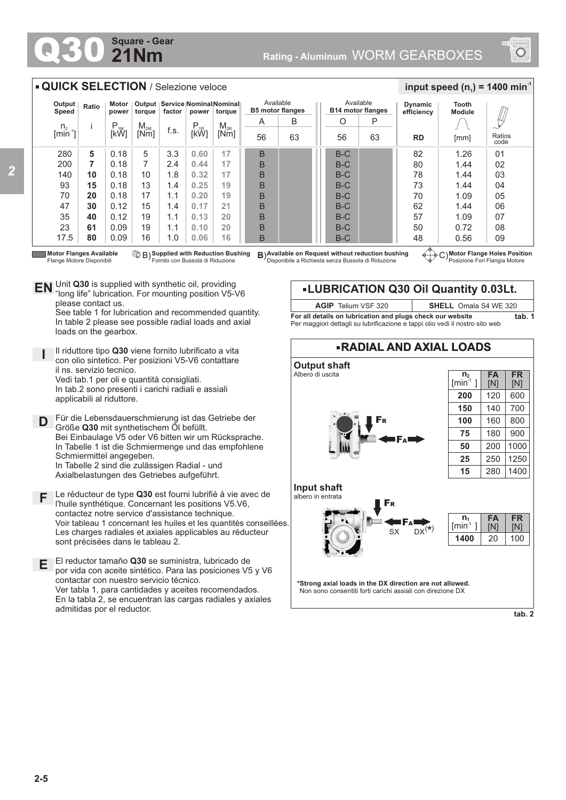## **21Nm Square - Gear**



## **QUICK SELECTION** / Selezione veloce

| Output<br>Speed                 | Ratio | Motor<br>power | torque   | Output   Service   Nominal Nominal  <br>factor<br>power<br>torque |           |          | Available<br><b>B5 motor flanges</b> |    |  | Available<br><b>B14 motor flanges</b> |    | <b>Dynamic</b><br>efficiency | <b>Tooth</b><br><b>Module</b> |                |
|---------------------------------|-------|----------------|----------|-------------------------------------------------------------------|-----------|----------|--------------------------------------|----|--|---------------------------------------|----|------------------------------|-------------------------------|----------------|
|                                 |       | $P_{1M}$       | $M_{2M}$ |                                                                   | $P_{.1R}$ | $M_{2R}$ | A                                    | B  |  | O                                     | P  |                              |                               |                |
| $\frac{n_2}{\text{[min}^{-1}]}$ |       | [kW]           | [Nm]     | f.s.                                                              | [kŴ]      | [Nm]     | 56                                   | 63 |  | 56                                    | 63 | <b>RD</b><br>[mm]            |                               | Ratios<br>code |
| 280                             | 5     | 0.18           | 5        | 3.3                                                               | 0.60      | 17       | B                                    |    |  | $B-C$                                 |    | 82                           | 1.26                          | 01             |
| 200                             | 7     | 0.18           | 7        | 2.4                                                               | 0.44      | 17       | B                                    |    |  | $B-C$                                 |    | 80                           | 1.44                          | 02             |
| 140                             | 10    | 0.18           | 10       | 1.8                                                               | 0.32      | 17       | B                                    |    |  | $B-C$                                 |    | 78                           | 1.44                          | 03             |
| 93                              | 15    | 0.18           | 13       | 1.4                                                               | 0.25      | 19       | B                                    |    |  | $B-C$                                 |    | 73                           | 1.44                          | 04             |
| 70                              | 20    | 0.18           | 17       | 1.1                                                               | 0.20      | 19       | B                                    |    |  | $B-C$                                 |    | 70                           | 1.09                          | 05             |
| 47                              | 30    | 0.12           | 15       | 1.4                                                               | 0.17      | 21       | B                                    |    |  | $B-C$                                 |    | 62                           | 1.44                          | 06             |
| 35                              | 40    | 0.12           | 19       | 1.1                                                               | 0.13      | 20       | B                                    |    |  | $B-C$                                 |    | 57                           | 1.09                          | 07             |
| 23                              | 61    | 0.09           | 19       | 1.1                                                               | 0.10      | 20       | B                                    |    |  | $B-C$                                 |    | 50                           | 0.72                          | 08             |
| 17.5                            | 80    | 0.09           | 16       | 1.0                                                               | 0.06      | 16       | B                                    |    |  | $B-C$                                 |    | 48                           | 0.56                          | 09             |

Flange Motore Disponibili

**I**

**Supplied with Reduction Bushing** Fornito con Bussola di Riduzione B) **B**)

Unit **Q30** is supplied with synthetic oil, providing **EN** Unit Q30 is supplied with synthetic oil, providing<br>"long life" lubrication. For mounting position V5-V6 please contact us.

See table 1 for lubrication and recommended quantity. In table 2 please see possible radial loads and axial loads on the gearbox.

Il riduttore tipo **Q30** viene fornito lubrificato a vita con olio sintetico. Per posizioni V5-V6 contattare il ns. servizio tecnico. Vedi tab.1 per oli e quantità consigliati. In tab.2 sono presenti i carichi radiali e assiali

applicabili al riduttore. Für die Lebensdauerschmierung ist das Getriebe der

**D** Größe **Q30** mit synthetischem Öl befüllt. Bei Einbaulage V5 oder V6 bitten wir um Rücksprache. In Tabelle 1 ist die Schmiermenge und das empfohlene Schmiermittel angegeben. In Tabelle 2 sind die zulässigen Radial - und Axialbelastungen des Getriebes aufgeführt.

**F** Le réducteur de type **Q30** est fourni lubrifié à vie avec de l'huile synthétique. Concernant les positions V5.V6, contactez notre service d'assistance technique. Voir tableau 1 concernant les huiles et les quantités conseillées. Les charges radiales et axiales applicables au réducteur sont précisées dans le tableau 2.

**E** El reductor tamaño **Q30** se suministra, lubricado de por vida con aceite sintético. Para las posiciones V5 y V6 contactar con nuestro servicio técnico. Ver tabla 1, para cantidades y aceites recomendados. En la tabla 2, se encuentran las cargas radiales y axiales admitidas por el reductor.

**Motor Flanges Available ① B) Supplied with Reduction Bushing B)Available on Request without reduction bushing ④……<br>Flange Motore Disponibili Fornito con Bussola di Riduzione Disponibile a Richiesta senza Bu** 

**Motor Flange Holes Position** Posizione Fori Flangia Motore

 $\frac{1}{2}$  **input speed (n**<sub>1</sub>) = 1400 min<sup>-1</sup>



**LUBRICATION Q30 Oil Quantity 0.03Lt.**

**For all details on lubrication and plugs check our website tab. 1** Per maggiori dettagli su lubrificazione e tappi olio vedi il nostro sito web

**AGIP** Telium VSF 320 **SHELL** Omala S4 WE 320

**\*Strong axial loads in the DX direction are not allowed.** Non sono consentiti forti carichi assiali con direzione DX

**tab. 2**